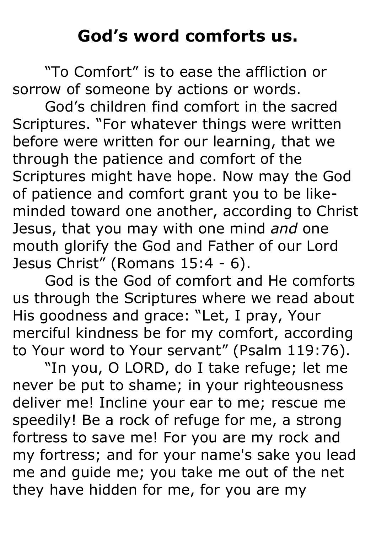## **God's word comforts us.**

"To Comfort" is to ease the affliction or sorrow of someone by actions or words.

God's children find comfort in the sacred Scriptures. "For whatever things were written before were written for our learning, that we through the patience and comfort of the Scriptures might have hope. Now may the God of patience and comfort grant you to be likeminded toward one another, according to Christ Jesus, that you may with one mind *and* one mouth glorify the God and Father of our Lord Jesus Christ" (Romans 15:4 - 6).

God is the God of comfort and He comforts us through the Scriptures where we read about His goodness and grace: "Let, I pray, Your merciful kindness be for my comfort, according to Your word to Your servant" (Psalm 119:76).

"In you, O LORD, do I take refuge; let me never be put to shame; in your righteousness deliver me! Incline your ear to me; rescue me speedily! Be a rock of refuge for me, a strong fortress to save me! For you are my rock and my fortress; and for your name's sake you lead me and guide me; you take me out of the net they have hidden for me, for you are my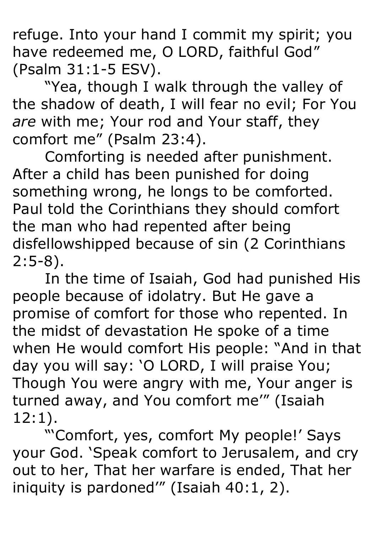refuge. Into your hand I commit my spirit; you have redeemed me, O LORD, faithful God" (Psalm 31:1-5 ESV).

"Yea, though I walk through the valley of the shadow of death, I will fear no evil; For You *are* with me; Your rod and Your staff, they comfort me" (Psalm 23:4).

Comforting is needed after punishment. After a child has been punished for doing something wrong, he longs to be comforted. Paul told the Corinthians they should comfort the man who had repented after being disfellowshipped because of sin (2 Corinthians 2:5-8).

In the time of Isaiah, God had punished His people because of idolatry. But He gave a promise of comfort for those who repented. In the midst of devastation He spoke of a time when He would comfort His people: "And in that day you will say: 'O LORD, I will praise You; Though You were angry with me, Your anger is turned away, and You comfort me'" (Isaiah 12:1).

"'Comfort, yes, comfort My people!' Says your God. 'Speak comfort to Jerusalem, and cry out to her, That her warfare is ended, That her iniquity is pardoned'" (Isaiah 40:1, 2).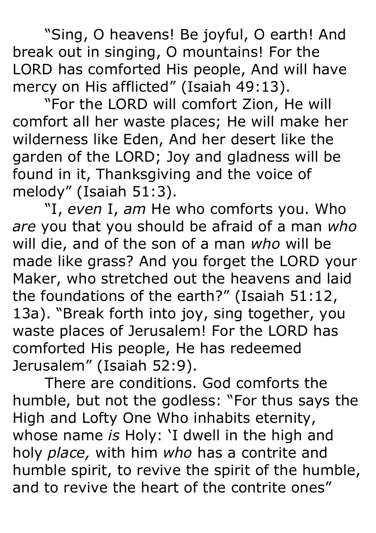"Sing, O heavens! Be joyful, O earth! And break out in singing, O mountains! For the LORD has comforted His people, And will have mercy on His afflicted" (Isaiah 49:13).

"For the LORD will comfort Zion, He will comfort all her waste places; He will make her wilderness like Eden, And her desert like the garden of the LORD; Joy and gladness will be found in it, Thanksgiving and the voice of melody" (Isaiah 51:3).

"I, *even* I, *am* He who comforts you. Who *are* you that you should be afraid of a man *who* will die, and of the son of a man *who* will be made like grass? And you forget the LORD your Maker, who stretched out the heavens and laid the foundations of the earth?" (Isaiah 51:12, 13a). "Break forth into joy, sing together, you waste places of Jerusalem! For the LORD has comforted His people, He has redeemed Jerusalem" (Isaiah 52:9).

There are conditions. God comforts the humble, but not the godless: "For thus says the High and Lofty One Who inhabits eternity, whose name *is* Holy: 'I dwell in the high and holy *place,* with him *who* has a contrite and humble spirit, to revive the spirit of the humble, and to revive the heart of the contrite ones"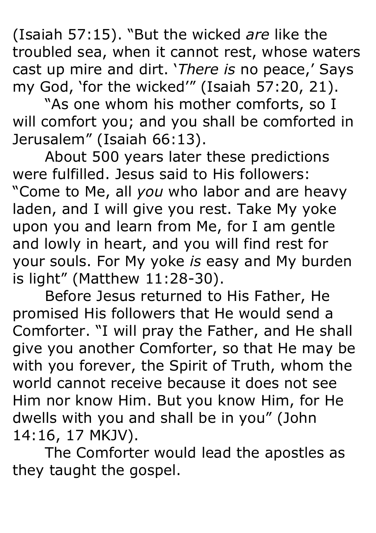(Isaiah 57:15). "But the wicked *are* like the troubled sea, when it cannot rest, whose waters cast up mire and dirt. '*There is* no peace,' Says my God, 'for the wicked'" (Isaiah 57:20, 21).

"As one whom his mother comforts, so I will comfort you; and you shall be comforted in Jerusalem" (Isaiah 66:13).

About 500 years later these predictions were fulfilled. Jesus said to His followers: "Come to Me, all *you* who labor and are heavy laden, and I will give you rest. Take My yoke upon you and learn from Me, for I am gentle and lowly in heart, and you will find rest for your souls. For My yoke *is* easy and My burden is light" (Matthew 11:28-30).

Before Jesus returned to His Father, He promised His followers that He would send a Comforter. "I will pray the Father, and He shall give you another Comforter, so that He may be with you forever, the Spirit of Truth, whom the world cannot receive because it does not see Him nor know Him. But you know Him, for He dwells with you and shall be in you" (John 14:16, 17 MKJV).

The Comforter would lead the apostles as they taught the gospel.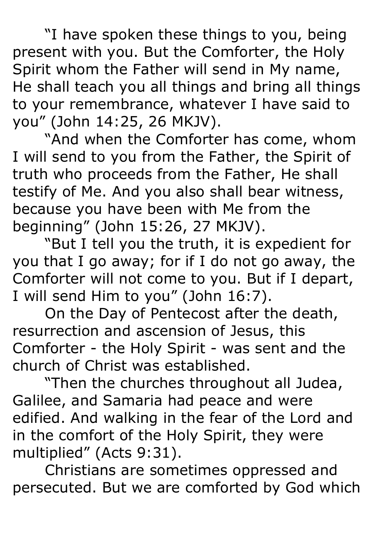"I have spoken these things to you, being present with you. But the Comforter, the Holy Spirit whom the Father will send in My name, He shall teach you all things and bring all things to your remembrance, whatever I have said to you" (John 14:25, 26 MKJV).

"And when the Comforter has come, whom I will send to you from the Father, the Spirit of truth who proceeds from the Father, He shall testify of Me. And you also shall bear witness, because you have been with Me from the beginning" (John 15:26, 27 MKJV).

"But I tell you the truth, it is expedient for you that I go away; for if I do not go away, the Comforter will not come to you. But if I depart, I will send Him to you" (John 16:7).

On the Day of Pentecost after the death, resurrection and ascension of Jesus, this Comforter - the Holy Spirit - was sent and the church of Christ was established.

"Then the churches throughout all Judea, Galilee, and Samaria had peace and were edified. And walking in the fear of the Lord and in the comfort of the Holy Spirit, they were multiplied" (Acts 9:31).

Christians are sometimes oppressed and persecuted. But we are comforted by God which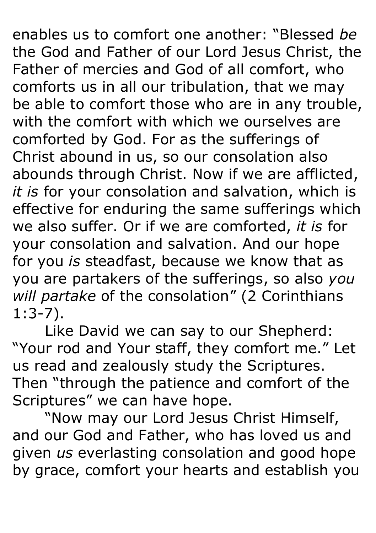enables us to comfort one another: "Blessed *be* the God and Father of our Lord Jesus Christ, the Father of mercies and God of all comfort, who comforts us in all our tribulation, that we may be able to comfort those who are in any trouble, with the comfort with which we ourselves are comforted by God. For as the sufferings of Christ abound in us, so our consolation also abounds through Christ. Now if we are afflicted, *it is* for your consolation and salvation, which is effective for enduring the same sufferings which we also suffer. Or if we are comforted, *it is* for your consolation and salvation. And our hope for you *is* steadfast, because we know that as you are partakers of the sufferings, so also *you will partake* of the consolation" (2 Corinthians 1:3-7).

Like David we can say to our Shepherd: "Your rod and Your staff, they comfort me." Let us read and zealously study the Scriptures. Then "through the patience and comfort of the Scriptures" we can have hope.

"Now may our Lord Jesus Christ Himself, and our God and Father, who has loved us and given *us* everlasting consolation and good hope by grace, comfort your hearts and establish you